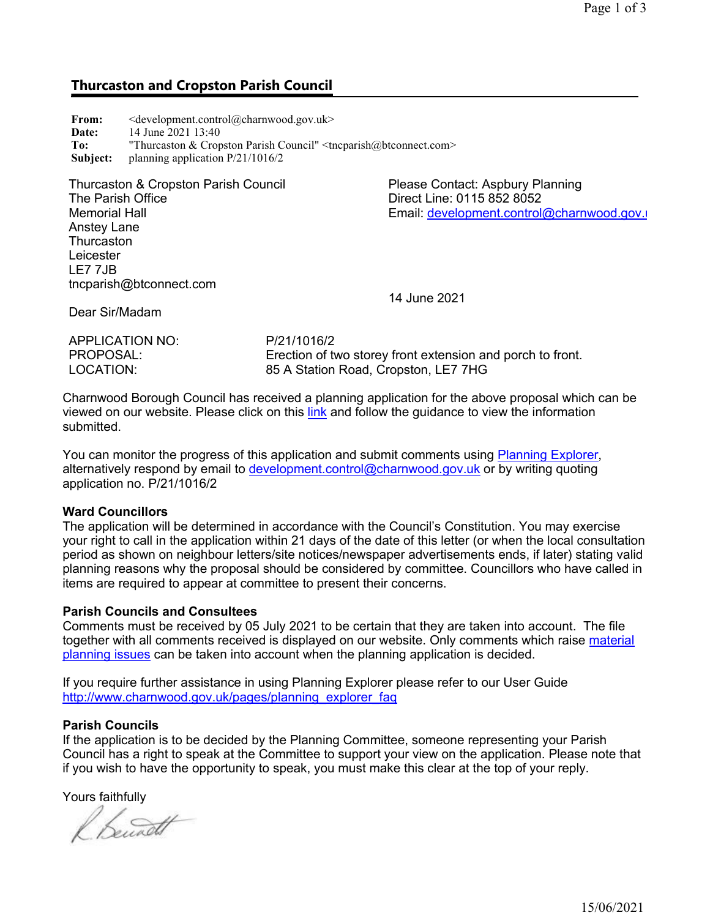# Thurcaston and Cropston Parish Council

| From:    | $\leq$ development.control@charnwood.gov.uk>                                  |
|----------|-------------------------------------------------------------------------------|
| Date:    | 14 June 2021 13:40                                                            |
| To:      | "Thurcaston & Cropston Parish Council" $\langle$ tncparish $@$ btconnect.com> |
| Subject: | planning application $P/21/1016/2$                                            |

Thurcaston & Cropston Parish Council The Parish Office Memorial Hall Anstey Lane **Thurcaston** Leicester LE7 7JB tncparish@btconnect.com

Please Contact: Aspbury Planning Direct Line: 0115 852 8052 Email: development.control@charnwood.gov.uk

Dear Sir/Madam

APPLICATION NO<sup>.</sup> P/21/1016/2 PROPOSAL: Erection of two storey front extension and porch to front.<br>COCATION: EDGENERY 25 A Station Road. Cropston. LET 7HG 85 A Station Road, Cropston, LE7 7HG

14 June 2021

Charnwood Borough Council has received a planning application for the above proposal which can be viewed on our website. Please click on this link and follow the guidance to view the information submitted.

You can monitor the progress of this application and submit comments using Planning Explorer, alternatively respond by email to development.control@charnwood.gov.uk or by writing quoting application no. P/21/1016/2

### Ward Councillors

The application will be determined in accordance with the Council's Constitution. You may exercise your right to call in the application within 21 days of the date of this letter (or when the local consultation period as shown on neighbour letters/site notices/newspaper advertisements ends, if later) stating valid planning reasons why the proposal should be considered by committee. Councillors who have called in items are required to appear at committee to present their concerns.

### Parish Councils and Consultees

Comments must be received by 05 July 2021 to be certain that they are taken into account. The file together with all comments received is displayed on our website. Only comments which raise material planning issues can be taken into account when the planning application is decided.

If you require further assistance in using Planning Explorer please refer to our User Guide http://www.charnwood.gov.uk/pages/planning\_explorer\_faq

### Parish Councils

If the application is to be decided by the Planning Committee, someone representing your Parish Council has a right to speak at the Committee to support your view on the application. Please note that if you wish to have the opportunity to speak, you must make this clear at the top of your reply.

Yours faithfully

Bennett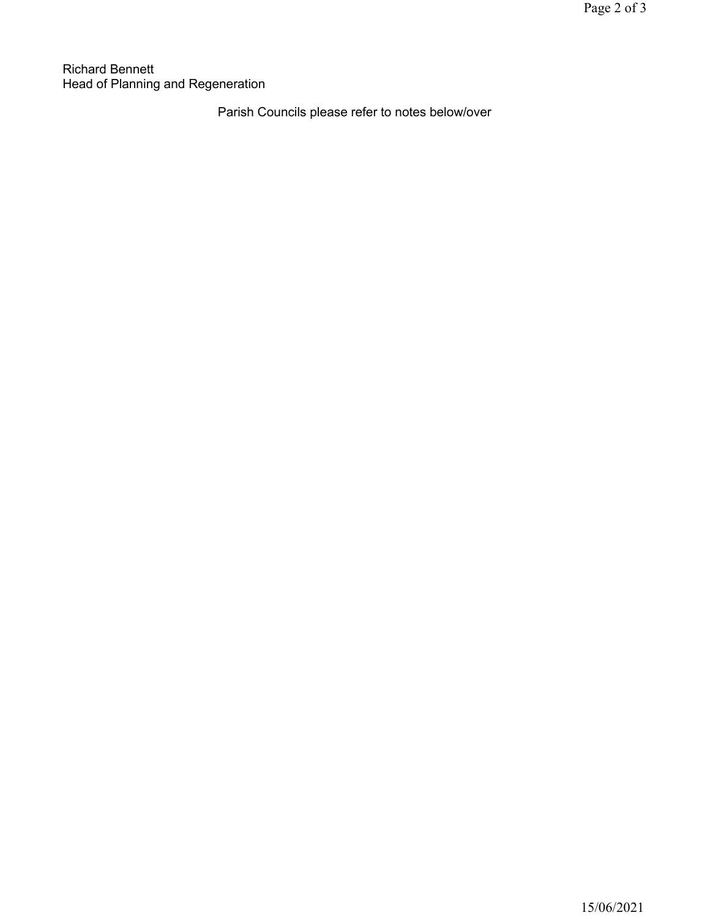Richard Bennett Head of Planning and Regeneration

Parish Councils please refer to notes below/over